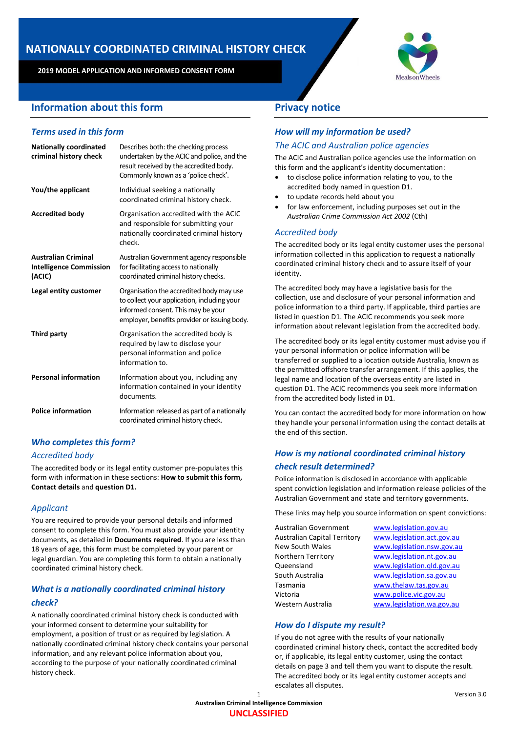# **NATIONALLY COORDINATED CRIMINAL HISTORY CHECK**

**2019 MODEL APPLICATION AND INFORMED CONSENT FORM**

# **Information about this form**

# *Terms used in this form*

| <b>Nationally coordinated</b><br>criminal history check                | Describes both: the checking process<br>undertaken by the ACIC and police, and the<br>result received by the accredited body.<br>Commonly known as a 'police check'.          |
|------------------------------------------------------------------------|-------------------------------------------------------------------------------------------------------------------------------------------------------------------------------|
| You/the applicant                                                      | Individual seeking a nationally<br>coordinated criminal history check.                                                                                                        |
| <b>Accredited body</b>                                                 | Organisation accredited with the ACIC<br>and responsible for submitting your<br>nationally coordinated criminal history<br>check.                                             |
| <b>Australian Criminal</b><br><b>Intelligence Commission</b><br>(ACIC) | Australian Government agency responsible<br>for facilitating access to nationally<br>coordinated criminal history checks.                                                     |
| Legal entity customer                                                  | Organisation the accredited body may use<br>to collect your application, including your<br>informed consent. This may be your<br>employer, benefits provider or issuing body. |
| Third party                                                            | Organisation the accredited body is<br>required by law to disclose your<br>personal information and police<br>information to.                                                 |
| <b>Personal information</b>                                            | Information about you, including any<br>information contained in your identity<br>documents.                                                                                  |
| <b>Police information</b>                                              | Information released as part of a nationally<br>coordinated criminal history check.                                                                                           |

# *Who completes this form?*

## *Accredited body*

The accredited body or its legal entity customer pre-populates this form with information in these sections: **How to submit this form, Contact details** and **question D1.**

# *Applicant*

You are required to provide your personal details and informed consent to complete this form. You must also provide your identity documents, as detailed in **Documents required**. If you are less than 18 years of age, this form must be completed by your parent or legal guardian. You are completing this form to obtain a nationally coordinated criminal history check.

# *What is a nationally coordinated criminal history check?*

A nationally coordinated criminal history check is conducted with your informed consent to determine your suitability for employment, a position of trust or as required by legislation. A nationally coordinated criminal history check contains your personal information, and any relevant police information about you, according to the purpose of your nationally coordinated criminal history check.



# **Privacy notice**

# *How will my information be used?*

## *The ACIC and Australian police agencies*

The ACIC and Australian police agencies use the information on this form and the applicant's identity documentation:

- to disclose police information relating to you, to the accredited body named in question D1.
- to update records held about you
- for law enforcement, including purposes set out in the *Australian Crime Commission Act 2002* (Cth)

## *Accredited body*

The accredited body or its legal entity customer uses the personal information collected in this application to request a nationally coordinated criminal history check and to assure itself of your identity.

The accredited body may have a legislative basis for the collection, use and disclosure of your personal information and police information to a third party. If applicable, third parties are listed in question D1. The ACIC recommends you seek more information about relevant legislation from the accredited body.

The accredited body or its legal entity customer must advise you if your personal information or police information will be transferred or supplied to a location outside Australia, known as the permitted offshore transfer arrangement. If this applies, the legal name and location of the overseas entity are listed in question D1. The ACIC recommends you seek more information from the accredited body listed in D1.

You can contact the accredited body for more information on how they handle your personal information using the contact details at the end of this section.

# *How is my national coordinated criminal history check result determined?*

Police information is disclosed in accordance with applicable spent conviction legislation and information release policies of the Australian Government and state and territory governments.

These links may help you source information on spent convictions:

| Australian Government               | www.legislation.gov.au     |
|-------------------------------------|----------------------------|
| <b>Australian Capital Territory</b> | www.legislation.act.gov.au |
| <b>New South Wales</b>              | www.legislation.nsw.gov.au |
| Northern Territory                  | www.legislation.nt.gov.au  |
| Queensland                          | www.legislation.qld.gov.au |
| South Australia                     | www.legislation.sa.gov.au  |
| Tasmania                            | www.thelaw.tas.gov.au      |
| Victoria                            | www.police.vic.gov.au      |
| Western Australia                   | www.legislation.wa.gov.au  |

## *How do I dispute my result?*

If you do not agree with the results of your nationally coordinated criminal history check, contact the accredited body or, if applicable, its legal entity customer, using the contact details on page 3 and tell them you want to dispute the result. The accredited body or its legal entity customer accepts and escalates all disputes.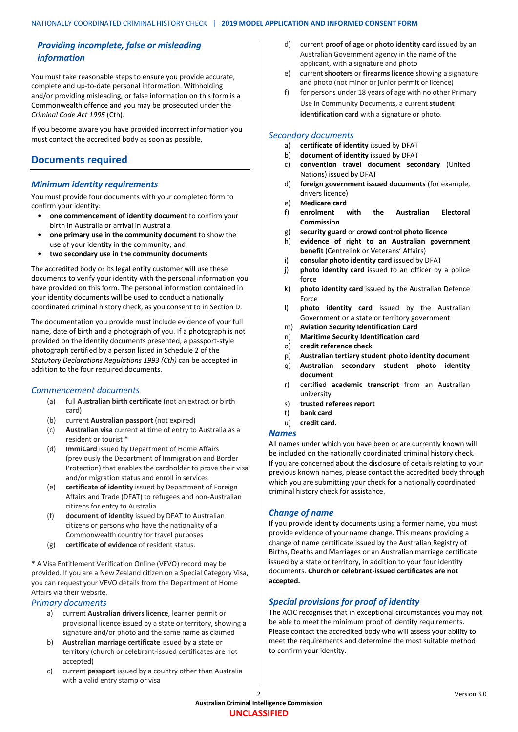# *Providing incomplete, false or misleading information*

You must take reasonable steps to ensure you provide accurate, complete and up-to-date personal information. Withholding and/or providing misleading, or false information on this form is a Commonwealth offence and you may be prosecuted under the *Criminal Code Act 1995 (Cth).* 

If you become aware you have provided incorrect information you must contact the accredited body as soon as possible.

# **Documents required**

# *Minimum identity requirements*

You must provide four documents with your completed form to confirm your identity:

- **one commencement of identity document** to confirm your birth in Australia or arrival in Australia
- **one primary use in the community document** to show the use of your identity in the community; and
- **two secondary use in the community documents**

The accredited body or its legal entity customer will use these documents to verify your identity with the personal information you have provided on this form. The personal information contained in your identity documents will be used to conduct a nationally coordinated criminal history check, as you consent to in Section D.

The documentation you provide must include evidence of your full name, date of birth and a photograph of you. If a photograph is not provided on the identity documents presented, a passport-style photograph certified by a person listed in Schedule 2 of the *[Statutory Declarations Regulations 1993 \(Cth\)](https://www.legislation.gov.au/Details/F2006C00248)* can be accepted in addition to the four required documents.

## *Commencement documents*

- (a) full **Australian birth certificate** (not an extract or birth card)
- (b) current **Australian passport** (not expired)
- (c) **Australian visa** current at time of entry to Australia as a resident or tourist **\***
- (d) **ImmiCard** issued by Department of Home Affairs (previously the Department of Immigration and Border Protection) that enables the cardholder to prove their visa and/or migration status and enroll in services
- (e) **certificate of identity** issued by Department of Foreign Affairs and Trade (DFAT) to refugees and non-Australian citizens for entry to Australia
- (f) **document of identity** issued by DFAT to Australian citizens or persons who have the nationality of a Commonwealth country for travel purposes
- (g) **certificate of evidence** of resident status.

**\*** A Visa Entitlement Verification Online (VEVO) record may be provided. If you are a New Zealand citizen on a Special Category Visa, you can request your VEVO details from the Department of Home Affairs via their website.

### *Primary documents*

- a) current **Australian drivers licence**, learner permit or provisional licence issued by a state or territory, showing a signature and/or photo and the same name as claimed
- b) **Australian marriage certificate** issued by a state or territory (church or celebrant-issued certificates are not accepted)
- c) current **passport** issued by a country other than Australia with a valid entry stamp or visa
- d) current **proof of age** or **photo identity card** issued by an Australian Government agency in the name of the applicant, with a signature and photo
- e) current **shooters** or **firearms licence** showing a signature and photo (not minor or junior permit or licence)
- for persons under 18 years of age with no other Primary Use in Community Documents, a current **student identification card** with a signature or photo.

## *Secondary documents*

- a) **certificate of identity** issued by DFAT
- b) **document of identity** issued by DFAT
- c) **convention travel document secondary** (United Nations) issued by DFAT
- d) **foreign government issued documents** (for example, drivers licence)
- e) **Medicare card**
- f) **enrolment with the Australian Electoral Commission**
- g) **security guard** or **crowd control photo licence**
- h) **evidence of right to an Australian government benefit** (Centrelink or Veterans' Affairs)
- i) **consular photo identity card** issued by DFAT
- j) **photo identity card** issued to an officer by a police force
- k) **photo identity card** issued by the Australian Defence Force
- l) **photo identity card** issued by the Australian Government or a state or territory government
- m) **Aviation Security Identification Card**
- n) **Maritime Security Identification card**
- o) **credit reference check**
- p) **Australian tertiary student photo identity document**
- q) **Australian secondary student photo identity document**
- r) certified **academic transcript** from an Australian university
- s) **trusted referees report**
- t) **bank card**
- u) **credit card.**

## *Names*

All names under which you have been or are currently known will be included on the nationally coordinated criminal history check. If you are concerned about the disclosure of details relating to your previous known names, please contact the accredited body through which you are submitting your check for a nationally coordinated criminal history check for assistance.

# *Change of name*

If you provide identity documents using a former name, you must provide evidence of your name change. This means providing a change of name certificate issued by the Australian Registry of Births, Deaths and Marriages or an Australian marriage certificate issued by a state or territory, in addition to your four identity documents. **Church or celebrant-issued certificates are not accepted.**

# *Special provisions for proof of identity*

The ACIC recognises that in exceptional circumstances you may not be able to meet the minimum proof of identity requirements. Please contact the accredited body who will assess your ability to meet the requirements and determine the most suitable method to confirm your identity.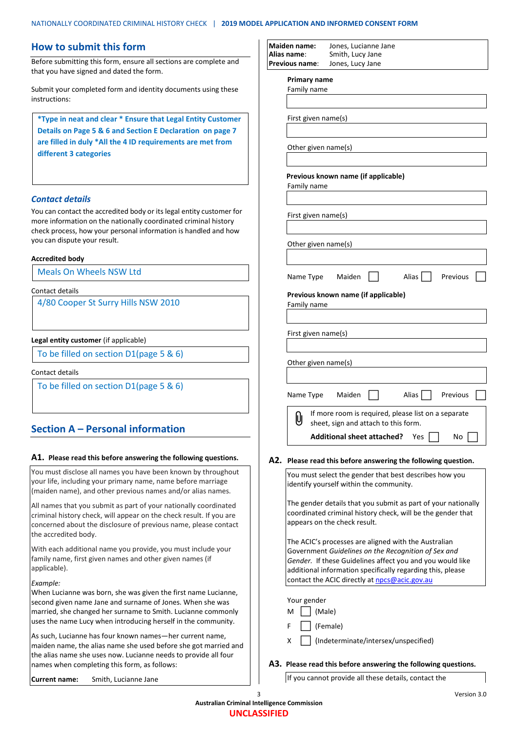# **How to submit this form**

Before submitting this form, ensure all sections are complete and that you have signed and dated the form.

Submit your completed form and identity documents using these instructions:

**\*Type in neat and clear \* Ensure that Legal Entity Customer Details on Page 5 & 6 and Section E Declaration on page 7 are filled in duly \*All the 4 ID requirements are met from different 3 categories**

### *Contact details*

You can contact the accredited body or its legal entity customer for more information on the nationally coordinated criminal history check process, how your personal information is handled and how you can dispute your result.

#### **Accredited body**

Meals On Wheels NSW Ltd

### Contact details

4/80 Cooper St Surry Hills NSW 2010

#### **Legal entity customer** (if applicable)

To be filled on section D1(page 5 & 6)

#### Contact details

To be filled on section D1(page 5 & 6)

# **Section A – Personal information**

#### **A1. Please read this before answering the following questions.**

You must disclose all names you have been known by throughout your life, including your primary name, name before marriage (maiden name), and other previous names and/or alias names.

All names that you submit as part of your nationally coordinated criminal history check, will appear on the check result. If you are concerned about the disclosure of previous name, please contact the accredited body.

With each additional name you provide, you must include your family name, first given names and other given names (if applicable).

#### *Example:*

When Lucianne was born, she was given the first name Lucianne, second given name Jane and surname of Jones. When she was married, she changed her surname to Smith. Lucianne commonly uses the name Lucy when introducing herself in the community.

As such, Lucianne has four known names—her current name, maiden name, the alias name she used before she got married and the alias name she uses now. Lucianne needs to provide all four names when completing this form, as follows:

**Current name:** Smith, Lucianne Jane

| <b>Maiden name:</b><br>Alias name: | Jones, Lucianne Jane<br>Smith, Lucy Jane                                                                                                                                 |
|------------------------------------|--------------------------------------------------------------------------------------------------------------------------------------------------------------------------|
| Previous name:                     | Jones, Lucy Jane                                                                                                                                                         |
| Primary name                       |                                                                                                                                                                          |
| Family name                        |                                                                                                                                                                          |
| First given name(s)                |                                                                                                                                                                          |
| Other given name(s)                |                                                                                                                                                                          |
| Family name                        | Previous known name (if applicable)                                                                                                                                      |
| First given name(s)                |                                                                                                                                                                          |
| Other given name(s)                |                                                                                                                                                                          |
| Name Type                          | Maiden<br>Alias<br>Previous<br>Previous known name (if applicable)                                                                                                       |
| Family name                        |                                                                                                                                                                          |
| First given name(s)                |                                                                                                                                                                          |
| Other given name(s)                |                                                                                                                                                                          |
| Name Type                          | Maiden<br>Alias<br>Previous                                                                                                                                              |
| U                                  | If more room is required, please list on a separate<br>sheet, sign and attach to this form.                                                                              |
|                                    | <b>Additional sheet attached?</b><br>No<br>Yes                                                                                                                           |
|                                    | A2. Please read this before answering the following question.                                                                                                            |
|                                    | You must select the gender that best describes how you<br>identify yourself within the community.                                                                        |
|                                    | The gender details that you submit as part of your nationally<br>coordinated criminal history check, will be the gender that<br>appears on the check result.             |
|                                    | The ACIC's processes are aligned with the Australian<br>Government Guidelines on the Recognition of Sex and<br>Gender. If these Guidelines affect you and you would like |

| Your gender |  |                        |
|-------------|--|------------------------|
| M           |  | $\vert$ $\vert$ (Male) |
| F           |  | (Female)               |

X | (Indeterminate/intersex/unspecified)

contact the ACIC directly at [npcs@acic.gov.au](mailto:npcs@acic.gov.au)

#### **A3. Please read this before answering the following questions.**

additional information specifically regarding this, please

If you cannot provide all these details, contact the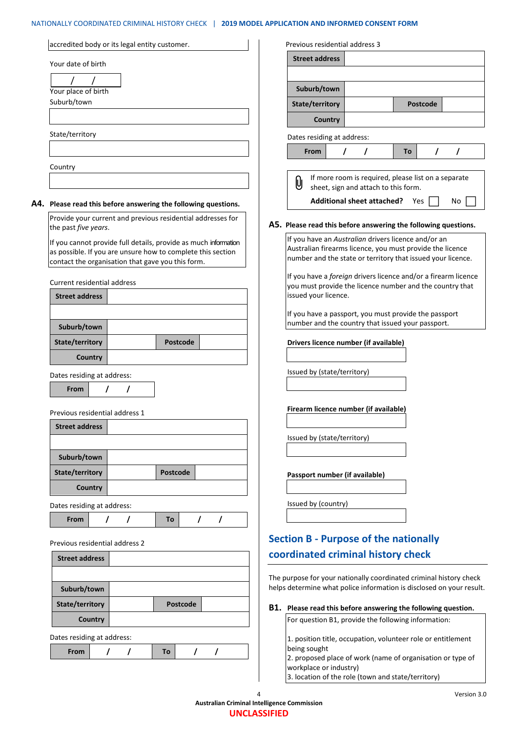# NATIONALLY COORDINATED CRIMINAL HISTORY CHECK | **2019 MODEL APPLICATION AND INFORMED CONSENT FORM**

| accredited body or its legal entity customer.                                                                                                                                       | Previous residential address 3                                                                                                                                                  |                                                     |
|-------------------------------------------------------------------------------------------------------------------------------------------------------------------------------------|---------------------------------------------------------------------------------------------------------------------------------------------------------------------------------|-----------------------------------------------------|
| Your date of birth                                                                                                                                                                  | <b>Street address</b>                                                                                                                                                           |                                                     |
|                                                                                                                                                                                     |                                                                                                                                                                                 |                                                     |
| Your place of birth                                                                                                                                                                 | Suburb/town                                                                                                                                                                     |                                                     |
| Suburb/town                                                                                                                                                                         | State/territory                                                                                                                                                                 | <b>Postcode</b>                                     |
|                                                                                                                                                                                     | <b>Country</b>                                                                                                                                                                  |                                                     |
| State/territory                                                                                                                                                                     | Dates residing at address:                                                                                                                                                      |                                                     |
|                                                                                                                                                                                     | $\prime$<br>$\prime$<br>From                                                                                                                                                    | To<br>$\prime$<br>$\prime$                          |
| Country                                                                                                                                                                             |                                                                                                                                                                                 |                                                     |
|                                                                                                                                                                                     | U<br>sheet, sign and attach to this form.                                                                                                                                       | If more room is required, please list on a separate |
| A4. Please read this before answering the following questions.                                                                                                                      | <b>Additional sheet attached?</b> Yes                                                                                                                                           | No                                                  |
| Provide your current and previous residential addresses for<br>the past five years.                                                                                                 | A5. Please read this before answering the following questions.                                                                                                                  |                                                     |
| If you cannot provide full details, provide as much information<br>as possible. If you are unsure how to complete this section<br>contact the organisation that gave you this form. | If you have an Australian drivers licence and/or an<br>Australian firearms licence, you must provide the licence<br>number and the state or territory that issued your licence. |                                                     |
| <b>Current residential address</b>                                                                                                                                                  | If you have a foreign drivers licence and/or a firearm licence<br>you must provide the licence number and the country that                                                      |                                                     |
| <b>Street address</b>                                                                                                                                                               | issued your licence.                                                                                                                                                            |                                                     |
|                                                                                                                                                                                     | If you have a passport, you must provide the passport                                                                                                                           |                                                     |
| Suburb/town                                                                                                                                                                         | number and the country that issued your passport.                                                                                                                               |                                                     |
| State/territory<br><b>Postcode</b>                                                                                                                                                  | Drivers licence number (if available)                                                                                                                                           |                                                     |
| Country                                                                                                                                                                             |                                                                                                                                                                                 |                                                     |
| Dates residing at address:                                                                                                                                                          | Issued by (state/territory)                                                                                                                                                     |                                                     |
| $\prime$<br>From                                                                                                                                                                    |                                                                                                                                                                                 |                                                     |
| Previous residential address 1                                                                                                                                                      | Firearm licence number (if available)                                                                                                                                           |                                                     |
| <b>Street address</b>                                                                                                                                                               |                                                                                                                                                                                 |                                                     |
|                                                                                                                                                                                     | Issued by (state/territory)                                                                                                                                                     |                                                     |
| Suburb/town                                                                                                                                                                         |                                                                                                                                                                                 |                                                     |
| State/territory<br><b>Postcode</b>                                                                                                                                                  | Passport number (if available)                                                                                                                                                  |                                                     |
| Country                                                                                                                                                                             |                                                                                                                                                                                 |                                                     |
| Dates residing at address:                                                                                                                                                          | Issued by (country)                                                                                                                                                             |                                                     |
| I<br>$\prime$<br>From<br>To<br>$\prime$                                                                                                                                             |                                                                                                                                                                                 |                                                     |
| Previous residential address 2                                                                                                                                                      | <b>Section B - Purpose of the nationally</b>                                                                                                                                    |                                                     |
| <b>Street address</b>                                                                                                                                                               | coordinated criminal history check                                                                                                                                              |                                                     |
|                                                                                                                                                                                     | The purpose for your nationally coordinated criminal history check                                                                                                              |                                                     |
| Suburb/town                                                                                                                                                                         | helps determine what police information is disclosed on your result.                                                                                                            |                                                     |
| State/territory<br><b>Postcode</b>                                                                                                                                                  | B1. Please read this before answering the following question.                                                                                                                   |                                                     |
| Country                                                                                                                                                                             | For question B1, provide the following information:                                                                                                                             |                                                     |
| Dates residing at address:                                                                                                                                                          | 1. position title, occupation, volunteer role or entitlement                                                                                                                    |                                                     |
| $\prime$<br>From<br>$\prime$<br>To<br>T<br>I                                                                                                                                        | being sought                                                                                                                                                                    |                                                     |
|                                                                                                                                                                                     | 2. proposed place of work (name of organisation or type of<br>workplace or industry)                                                                                            |                                                     |
|                                                                                                                                                                                     | 3. location of the role (town and state/territory)                                                                                                                              |                                                     |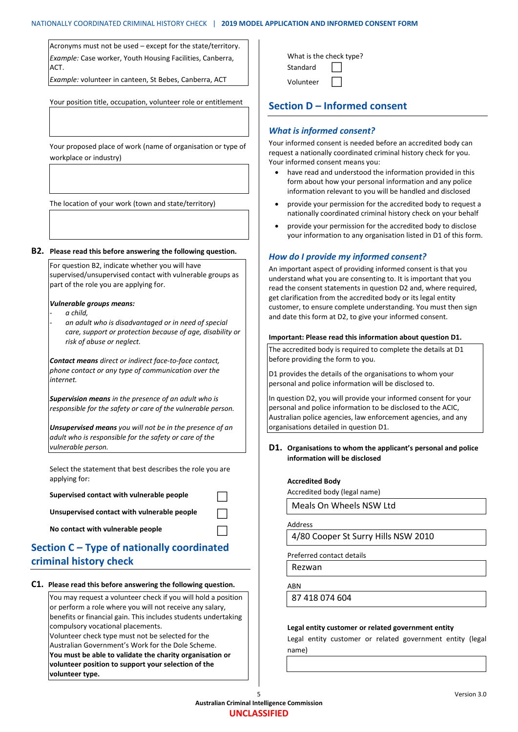Acronyms must not be used – except for the state/territory. *Example:* Case worker, Youth Housing Facilities, Canberra, ACT.

*Example:* volunteer in canteen, St Bebes, Canberra, ACT

Your position title, occupation, volunteer role or entitlement

Your proposed place of work (name of organisation or type of workplace or industry)

The location of your work (town and state/territory)

#### **B2. Please read this before answering the following question.**

For question B2, indicate whether you will have supervised/unsupervised contact with vulnerable groups as part of the role you are applying for.

#### *Vulnerable groups means:*

- *a child,* 

- *an adult who is disadvantaged or in need of special care, support or protection because of age, disability or risk of abuse or neglect.*

*Contact means direct or indirect face-to-face contact, phone contact or any type of communication over the internet.*

*Supervision means in the presence of an adult who is responsible for the safety or care of the vulnerable person.*

*Unsupervised means you will not be in the presence of an adult who is responsible for the safety or care of the vulnerable person.*

Select the statement that best describes the role you are applying for:

**Supervised contact with vulnerable people**

**Unsupervised contact with vulnerable people**

**No contact with vulnerable people**

# **Section C – Type of nationally coordinated criminal history check**

#### **C1. Please read this before answering the following question.**

You may request a volunteer check if you will hold a position or perform a role where you will not receive any salary, benefits or financial gain. This includes students undertaking compulsory vocational placements.

Volunteer check type must not be selected for the Australian Government's Work for the Dole Scheme. **You must be able to validate the charity organisation or** 

**volunteer position to support your selection of the volunteer type.**

| What is the check type? |  |  |
|-------------------------|--|--|
| Standard                |  |  |
| Volunteer               |  |  |

# **Section D – Informed consent**

### *What is informed consent?*

Your informed consent is needed before an accredited body can request a nationally coordinated criminal history check for you. Your informed consent means you:

- have read and understood the information provided in this form about how your personal information and any police information relevant to you will be handled and disclosed
- provide your permission for the accredited body to request a nationally coordinated criminal history check on your behalf
- provide your permission for the accredited body to disclose your information to any organisation listed in D1 of this form.

### *How do I provide my informed consent?*

An important aspect of providing informed consent is that you understand what you are consenting to. It is important that you read the consent statements in question D2 and, where required, get clarification from the accredited body or its legal entity customer, to ensure complete understanding. You must then sign and date this form at D2, to give your informed consent.

#### **Important: Please read this information about question D1.**

The accredited body is required to complete the details at D1 before providing the form to you.

D1 provides the details of the organisations to whom your personal and police information will be disclosed to.

In question D2, you will provide your informed consent for your personal and police information to be disclosed to the ACIC, Australian police agencies, law enforcement agencies, and any organisations detailed in question D1.

### **D1. Organisations to whom the applicant's personal and police information will be disclosed**

#### **Accredited Body**

Accredited body (legal name)

Meals On Wheels NSW Ltd

Address

4/80 Cooper St Surry Hills NSW 2010

Preferred contact details

Rezwan

ABN

87 418 074 604

#### **Legal entity customer or related government entity**

Legal entity customer or related government entity (legal name)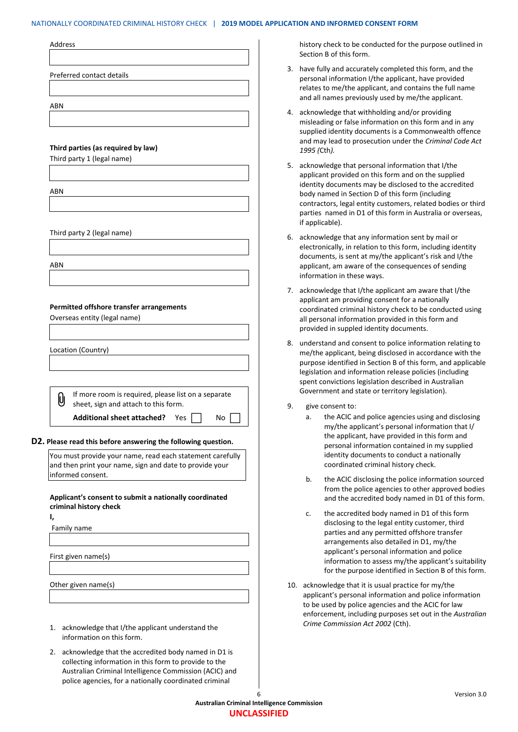#### NATIONALLY COORDINATED CRIMINAL HISTORY CHECK | **2019 MODEL APPLICATION AND INFORMED CONSENT FORM**

|            | Preferred contact details                                                                                                  |
|------------|----------------------------------------------------------------------------------------------------------------------------|
| ABN        |                                                                                                                            |
|            |                                                                                                                            |
|            |                                                                                                                            |
|            | Third parties (as required by law)                                                                                         |
|            | Third party 1 (legal name)                                                                                                 |
|            |                                                                                                                            |
| <b>ABN</b> |                                                                                                                            |
|            |                                                                                                                            |
|            | Third party 2 (legal name)                                                                                                 |
|            |                                                                                                                            |
| ABN        |                                                                                                                            |
|            |                                                                                                                            |
|            |                                                                                                                            |
|            | Permitted offshore transfer arrangements                                                                                   |
|            | Overseas entity (legal name)                                                                                               |
|            |                                                                                                                            |
|            |                                                                                                                            |
|            |                                                                                                                            |
|            | Location (Country)                                                                                                         |
|            |                                                                                                                            |
|            | If more room is required, please list on a separate                                                                        |
| UJ         | sheet, sign and attach to this form.                                                                                       |
|            | <b>Additional sheet attached?</b><br>Yes  <br>No                                                                           |
|            |                                                                                                                            |
|            | D2. Please read this before answering the following question.<br>You must provide your name, read each statement carefully |
|            | and then print your name, sign and date to provide your                                                                    |
|            | informed consent.                                                                                                          |
|            | Applicant's consent to submit a nationally coordinated                                                                     |
|            | criminal history check                                                                                                     |
|            | Family name                                                                                                                |
|            |                                                                                                                            |
|            | First given name(s)                                                                                                        |
|            |                                                                                                                            |
|            | Other given name(s)                                                                                                        |
|            |                                                                                                                            |
| ı,         |                                                                                                                            |
| 1.         | acknowledge that I/the applicant understand the                                                                            |
| 2.         | information on this form.<br>acknowledge that the accredited body named in D1 is                                           |

collecting information in this form to provide to the Australian Criminal Intelligence Commission (ACIC) and police agencies, for a nationally coordinated criminal

history check to be conducted for the purpose outlined in Section B of this form.

- 3. have fully and accurately completed this form, and the personal information I/the applicant, have provided relates to me/the applicant, and contains the full name and all names previously used by me/the applicant.
- 4. acknowledge that withholding and/or providing misleading or false information on this form and in any supplied identity documents is a Commonwealth offence and may lead to prosecution under the *Criminal Code Act 1995 (*Cth*).*
- 5. acknowledge that personal information that I/the applicant provided on this form and on the supplied identity documents may be disclosed to the accredited body named in Section D of this form (including contractors, legal entity customers, related bodies or third parties named in D1 of this form in Australia or overseas, if applicable).
- 6. acknowledge that any information sent by mail or electronically, in relation to this form, including identity documents, is sent at my/the applicant's risk and I/the applicant, am aware of the consequences of sending information in these ways.
- 7. acknowledge that I/the applicant am aware that I/the applicant am providing consent for a nationally coordinated criminal history check to be conducted using all personal information provided in this form and provided in suppled identity documents.
- 8. understand and consent to police information relating to me/the applicant, being disclosed in accordance with the purpose identified in Section B of this form, and applicable legislation and information release policies (including spent convictions legislation described in Australian Government and state or territory legislation).
- 9. give consent to:
	- a. the ACIC and police agencies using and disclosing my/the applicant's personal information that I/ the applicant, have provided in this form and personal information contained in my supplied identity documents to conduct a nationally coordinated criminal history check.
	- b. the ACIC disclosing the police information sourced from the police agencies to other approved bodies and the accredited body named in D1 of this form.
	- c. the accredited body named in D1 of this form disclosing to the legal entity customer, third parties and any permitted offshore transfer arrangements also detailed in D1, my/the applicant's personal information and police information to assess my/the applicant's suitability for the purpose identified in Section B of this form.
- 10. acknowledge that it is usual practice for my/the applicant's personal information and police information to be used by police agencies and the ACIC for law enforcement, including purposes set out in the *Australian Crime Commission Act 2002* (Cth).